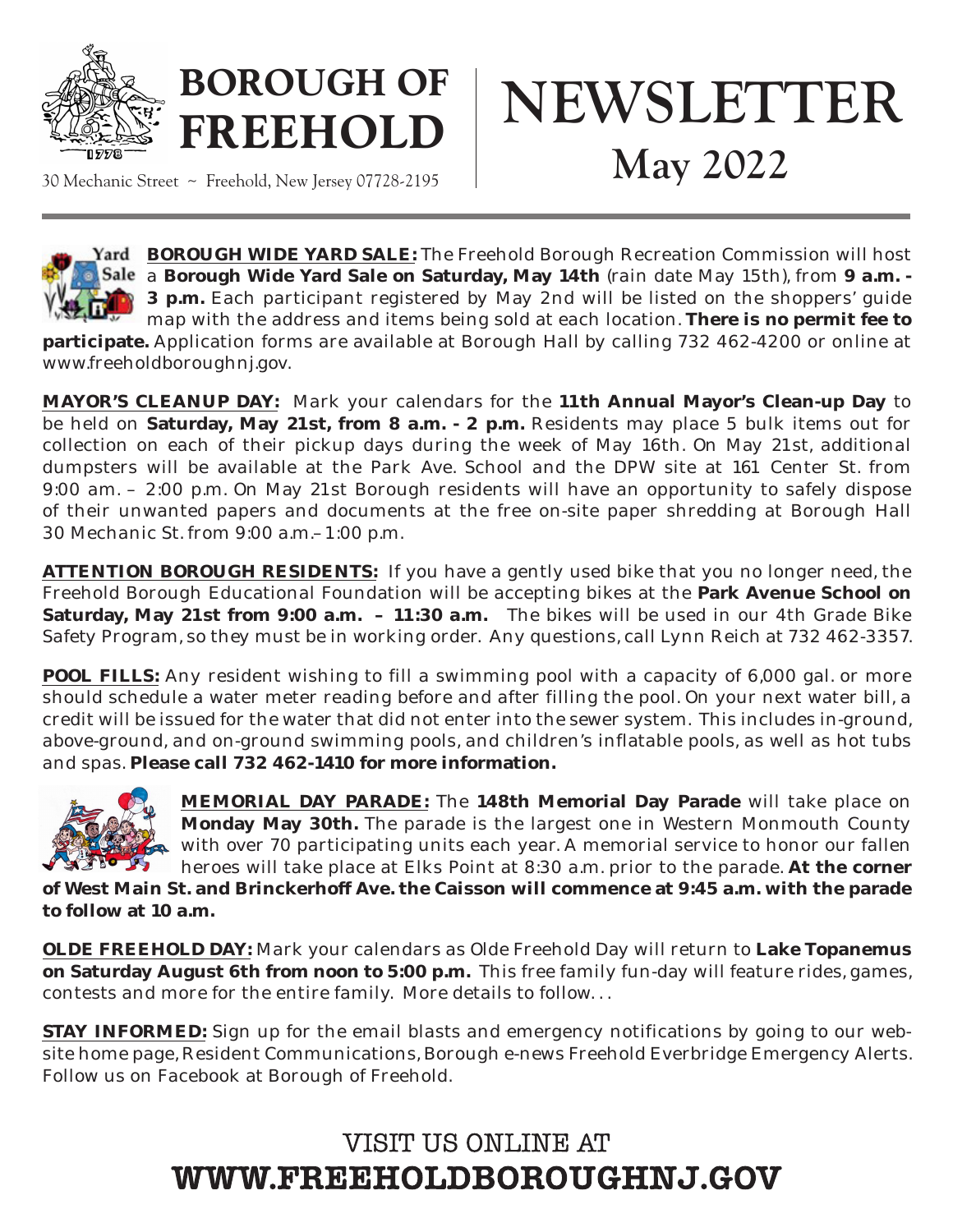

# **BOROUGH OF FREEHOLD**

30 Mechanic Street ~ Freehold, New Jersey 07728-2195





Yard BOROUGH WIDE YARD SALE: The Freehold Borough Recreation Commission will host a **Borough Wide Yard Sale on Saturday, May 14th** (rain date May 15th), from **9 a.m. - 3 p.m.** Each participant registered by May 2nd will be listed on the shoppers' guide map with the address and items being sold at each location. **There is no permit fee to** 

**participate.** Application forms are available at Borough Hall by calling 732 462-4200 or online at www.freeholdboroughnj.gov.

**MAYOR'S CLEANUP DAY:** Mark your calendars for the **11th Annual Mayor's Clean-up Day** to be held on **Saturday, May 21st, from 8 a.m. - 2 p.m.** Residents may place 5 bulk items out for collection on each of their pickup days during the week of May 16th. On May 21st, additional dumpsters will be available at the Park Ave. School and the DPW site at 161 Center St. from 9:00 am. – 2:00 p.m. On May 21st Borough residents will have an opportunity to safely dispose of their unwanted papers and documents at the free on-site paper shredding at Borough Hall 30 Mechanic St. from 9:00 a.m.–1:00 p.m.

**ATTENTION BOROUGH RESIDENTS:** If you have a gently used bike that you no longer need, the Freehold Borough Educational Foundation will be accepting bikes at the **Park Avenue School on Saturday, May 21st from 9:00 a.m. – 11:30 a.m.** The bikes will be used in our 4th Grade Bike Safety Program, so they must be in working order. Any questions, call Lynn Reich at 732 462-3357.

**POOL FILLS:** Any resident wishing to fill a swimming pool with a capacity of 6,000 gal. or more should schedule a water meter reading before and after filling the pool. On your next water bill, a credit will be issued for the water that did not enter into the sewer system. This includes in-ground, above-ground, and on-ground swimming pools, and children's inflatable pools, as well as hot tubs and spas. **Please call 732 462-1410 for more information.**



**MEMORIAL DAY PARADE:** The **148th Memorial Day Parade** will take place on **Monday May 30th.** The parade is the largest one in Western Monmouth County with over 70 participating units each year. A memorial service to honor our fallen heroes will take place at Elks Point at 8:30 a.m. prior to the parade. **At the corner** 

**of West Main St. and Brinckerhoff Ave. the Caisson will commence at 9:45 a.m. with the parade to follow at 10 a.m.**

**OLDE FREEHOLD DAY:** Mark your calendars as Olde Freehold Day will return to **Lake Topanemus on Saturday August 6th from noon to 5:00 p.m.** This free family fun-day will feature rides, games, contests and more for the entire family. More details to follow. . .

**STAY INFORMED:** Sign up for the email blasts and emergency notifications by going to our website home page, Resident Communications, Borough e-news Freehold Everbridge Emergency Alerts. Follow us on Facebook at Borough of Freehold.

## VISIT US ONLINE AT WWW.FREEHOLDBOROUGHNJ.GOV